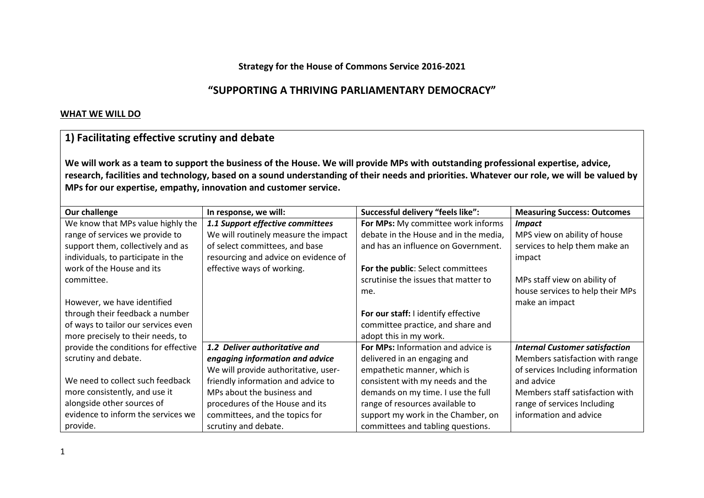### **Strategy for the House of Commons Service 2016-2021**

## **"SUPPORTING A THRIVING PARLIAMENTARY DEMOCRACY"**

#### **WHAT WE WILL DO**

## **1) Facilitating effective scrutiny and debate**

**We will work as a team to support the business of the House. We will provide MPs with outstanding professional expertise, advice, research, facilities and technology, based on a sound understanding of their needs and priorities. Whatever our role, we will be valued by MPs for our expertise, empathy, innovation and customer service.**

| Our challenge                        | In response, we will:                | Successful delivery "feels like":     | <b>Measuring Success: Outcomes</b>    |
|--------------------------------------|--------------------------------------|---------------------------------------|---------------------------------------|
| We know that MPs value highly the    | 1.1 Support effective committees     | For MPs: My committee work informs    | <b>Impact</b>                         |
| range of services we provide to      | We will routinely measure the impact | debate in the House and in the media, | MPS view on ability of house          |
| support them, collectively and as    | of select committees, and base       | and has an influence on Government.   | services to help them make an         |
| individuals, to participate in the   | resourcing and advice on evidence of |                                       | impact                                |
| work of the House and its            | effective ways of working.           | For the public: Select committees     |                                       |
| committee.                           |                                      | scrutinise the issues that matter to  | MPs staff view on ability of          |
|                                      |                                      | me.                                   | house services to help their MPs      |
| However, we have identified          |                                      |                                       | make an impact                        |
| through their feedback a number      |                                      | For our staff: I identify effective   |                                       |
| of ways to tailor our services even  |                                      | committee practice, and share and     |                                       |
| more precisely to their needs, to    |                                      | adopt this in my work.                |                                       |
| provide the conditions for effective | 1.2 Deliver authoritative and        | For MPs: Information and advice is    | <b>Internal Customer satisfaction</b> |
| scrutiny and debate.                 | engaging information and advice      | delivered in an engaging and          | Members satisfaction with range       |
|                                      | We will provide authoritative, user- | empathetic manner, which is           | of services Including information     |
| We need to collect such feedback     | friendly information and advice to   | consistent with my needs and the      | and advice                            |
| more consistently, and use it        | MPs about the business and           | demands on my time. I use the full    | Members staff satisfaction with       |
| alongside other sources of           | procedures of the House and its      | range of resources available to       | range of services Including           |
| evidence to inform the services we   | committees, and the topics for       | support my work in the Chamber, on    | information and advice                |
| provide.                             | scrutiny and debate.                 | committees and tabling questions.     |                                       |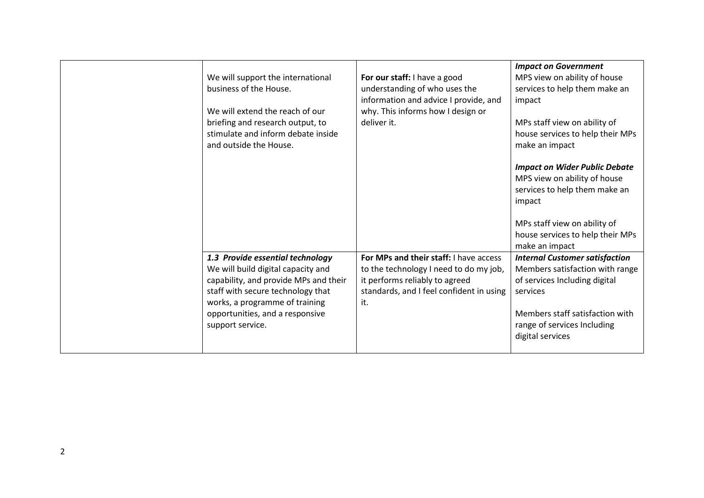|                                       |                                          | <b>Impact on Government</b>           |  |
|---------------------------------------|------------------------------------------|---------------------------------------|--|
| We will support the international     | For our staff: I have a good             | MPS view on ability of house          |  |
| business of the House.                | understanding of who uses the            | services to help them make an         |  |
|                                       | information and advice I provide, and    | impact                                |  |
| We will extend the reach of our       | why. This informs how I design or        |                                       |  |
| briefing and research output, to      | deliver it.                              | MPs staff view on ability of          |  |
| stimulate and inform debate inside    |                                          | house services to help their MPs      |  |
| and outside the House.                |                                          | make an impact                        |  |
|                                       |                                          |                                       |  |
|                                       |                                          | <b>Impact on Wider Public Debate</b>  |  |
|                                       |                                          | MPS view on ability of house          |  |
|                                       |                                          | services to help them make an         |  |
|                                       |                                          | impact                                |  |
|                                       |                                          |                                       |  |
|                                       |                                          | MPs staff view on ability of          |  |
|                                       |                                          | house services to help their MPs      |  |
|                                       |                                          | make an impact                        |  |
| 1.3 Provide essential technology      | For MPs and their staff: I have access   | <b>Internal Customer satisfaction</b> |  |
| We will build digital capacity and    | to the technology I need to do my job,   | Members satisfaction with range       |  |
| capability, and provide MPs and their | it performs reliably to agreed           | of services Including digital         |  |
| staff with secure technology that     | standards, and I feel confident in using | services                              |  |
| works, a programme of training        | it.                                      |                                       |  |
| opportunities, and a responsive       |                                          | Members staff satisfaction with       |  |
| support service.                      |                                          | range of services Including           |  |
|                                       |                                          | digital services                      |  |
|                                       |                                          |                                       |  |
|                                       |                                          |                                       |  |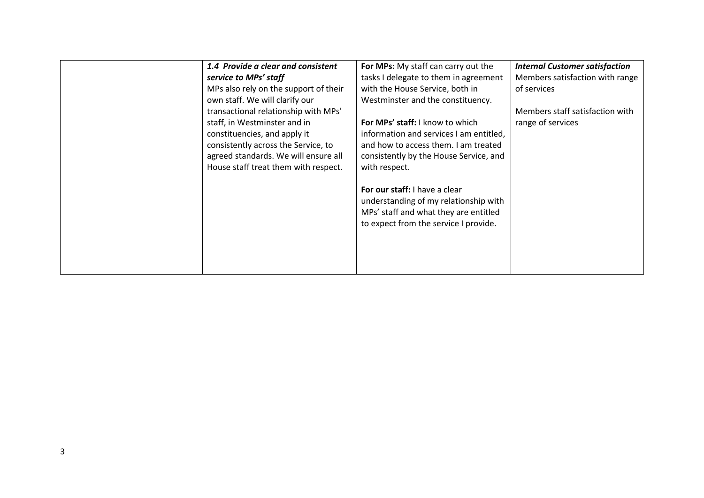| 1.4 Provide a clear and consistent<br>service to MPs' staff<br>MPs also rely on the support of their<br>own staff. We will clarify our<br>transactional relationship with MPs'<br>staff, in Westminster and in<br>constituencies, and apply it<br>consistently across the Service, to<br>agreed standards. We will ensure all<br>House staff treat them with respect. | For MPs: My staff can carry out the<br>tasks I delegate to them in agreement<br>with the House Service, both in<br>Westminster and the constituency.<br>For MPs' staff: I know to which<br>information and services I am entitled,<br>and how to access them. I am treated<br>consistently by the House Service, and<br>with respect. | <b>Internal Customer satisfaction</b><br>Members satisfaction with range<br>of services<br>Members staff satisfaction with<br>range of services |
|-----------------------------------------------------------------------------------------------------------------------------------------------------------------------------------------------------------------------------------------------------------------------------------------------------------------------------------------------------------------------|---------------------------------------------------------------------------------------------------------------------------------------------------------------------------------------------------------------------------------------------------------------------------------------------------------------------------------------|-------------------------------------------------------------------------------------------------------------------------------------------------|
|                                                                                                                                                                                                                                                                                                                                                                       | <b>For our staff:</b> I have a clear<br>understanding of my relationship with<br>MPs' staff and what they are entitled<br>to expect from the service I provide.                                                                                                                                                                       |                                                                                                                                                 |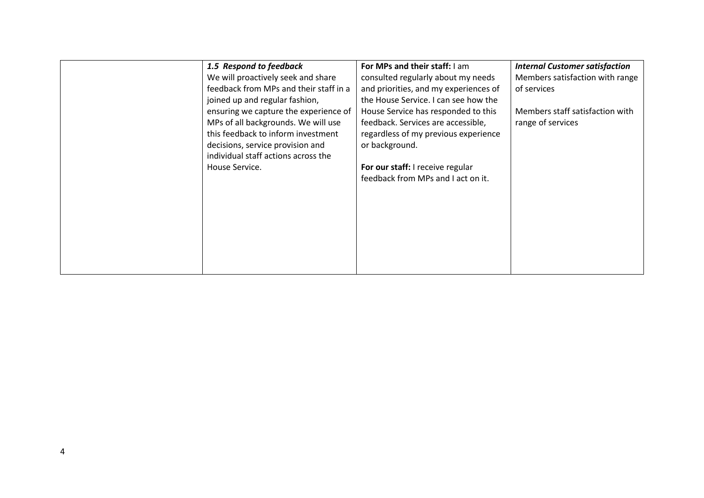| 1.5 Respond to feedback<br>We will proactively seek and share<br>feedback from MPs and their staff in a<br>joined up and regular fashion,<br>ensuring we capture the experience of<br>MPs of all backgrounds. We will use<br>this feedback to inform investment<br>decisions, service provision and<br>individual staff actions across the<br>House Service. | For MPs and their staff: I am<br>consulted regularly about my needs<br>and priorities, and my experiences of<br>the House Service. I can see how the<br>House Service has responded to this<br>feedback. Services are accessible,<br>regardless of my previous experience<br>or background.<br>For our staff: I receive regular<br>feedback from MPs and I act on it. | <b>Internal Customer satisfaction</b><br>Members satisfaction with range<br>of services<br>Members staff satisfaction with<br>range of services |
|--------------------------------------------------------------------------------------------------------------------------------------------------------------------------------------------------------------------------------------------------------------------------------------------------------------------------------------------------------------|-----------------------------------------------------------------------------------------------------------------------------------------------------------------------------------------------------------------------------------------------------------------------------------------------------------------------------------------------------------------------|-------------------------------------------------------------------------------------------------------------------------------------------------|
|                                                                                                                                                                                                                                                                                                                                                              |                                                                                                                                                                                                                                                                                                                                                                       |                                                                                                                                                 |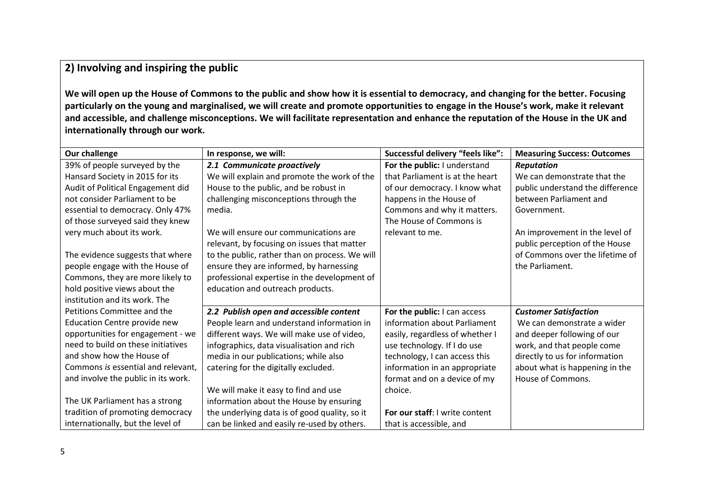# **2) Involving and inspiring the public**

**We will open up the House of Commons to the public and show how it is essential to democracy, and changing for the better. Focusing particularly on the young and marginalised, we will create and promote opportunities to engage in the House's work, make it relevant and accessible, and challenge misconceptions. We will facilitate representation and enhance the reputation of the House in the UK and internationally through our work.**

| <b>Our challenge</b>                | In response, we will:                          | Successful delivery "feels like": | <b>Measuring Success: Outcomes</b> |
|-------------------------------------|------------------------------------------------|-----------------------------------|------------------------------------|
| 39% of people surveyed by the       | 2.1 Communicate proactively                    | For the public: I understand      | <b>Reputation</b>                  |
| Hansard Society in 2015 for its     | We will explain and promote the work of the    | that Parliament is at the heart   | We can demonstrate that the        |
| Audit of Political Engagement did   | House to the public, and be robust in          | of our democracy. I know what     | public understand the difference   |
| not consider Parliament to be       | challenging misconceptions through the         | happens in the House of           | between Parliament and             |
| essential to democracy. Only 47%    | media.                                         | Commons and why it matters.       | Government.                        |
| of those surveyed said they knew    |                                                | The House of Commons is           |                                    |
| very much about its work.           | We will ensure our communications are          | relevant to me.                   | An improvement in the level of     |
|                                     | relevant, by focusing on issues that matter    |                                   | public perception of the House     |
| The evidence suggests that where    | to the public, rather than on process. We will |                                   | of Commons over the lifetime of    |
| people engage with the House of     | ensure they are informed, by harnessing        |                                   | the Parliament.                    |
| Commons, they are more likely to    | professional expertise in the development of   |                                   |                                    |
| hold positive views about the       | education and outreach products.               |                                   |                                    |
| institution and its work. The       |                                                |                                   |                                    |
| Petitions Committee and the         | 2.2 Publish open and accessible content        | For the public: I can access      | <b>Customer Satisfaction</b>       |
| Education Centre provide new        | People learn and understand information in     | information about Parliament      | We can demonstrate a wider         |
| opportunities for engagement - we   | different ways. We will make use of video,     | easily, regardless of whether I   | and deeper following of our        |
| need to build on these initiatives  | infographics, data visualisation and rich      | use technology. If I do use       | work, and that people come         |
| and show how the House of           | media in our publications; while also          | technology, I can access this     | directly to us for information     |
| Commons is essential and relevant,  | catering for the digitally excluded.           | information in an appropriate     | about what is happening in the     |
| and involve the public in its work. |                                                | format and on a device of my      | House of Commons.                  |
|                                     | We will make it easy to find and use           | choice.                           |                                    |
| The UK Parliament has a strong      | information about the House by ensuring        |                                   |                                    |
| tradition of promoting democracy    | the underlying data is of good quality, so it  | For our staff: I write content    |                                    |
| internationally, but the level of   | can be linked and easily re-used by others.    | that is accessible, and           |                                    |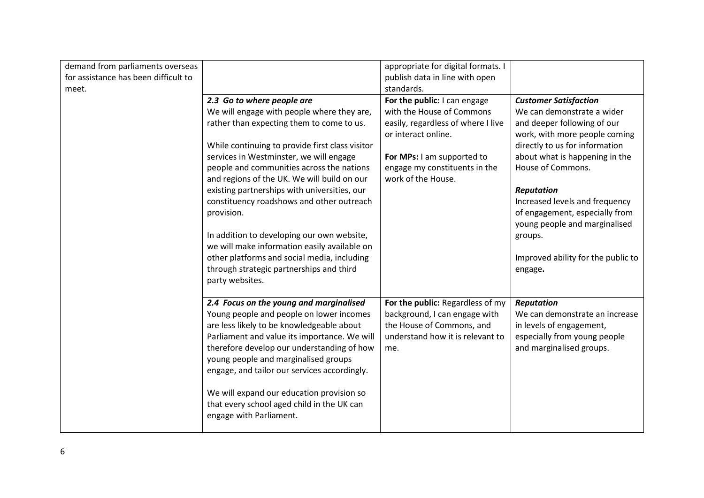| demand from parliaments overseas     |                                                 | appropriate for digital formats. I |                                    |
|--------------------------------------|-------------------------------------------------|------------------------------------|------------------------------------|
| for assistance has been difficult to |                                                 | publish data in line with open     |                                    |
| meet.                                |                                                 | standards.                         |                                    |
|                                      | 2.3 Go to where people are                      | For the public: I can engage       | <b>Customer Satisfaction</b>       |
|                                      | We will engage with people where they are,      | with the House of Commons          | We can demonstrate a wider         |
|                                      | rather than expecting them to come to us.       | easily, regardless of where I live | and deeper following of our        |
|                                      |                                                 | or interact online.                | work, with more people coming      |
|                                      | While continuing to provide first class visitor |                                    | directly to us for information     |
|                                      | services in Westminster, we will engage         | For MPs: I am supported to         | about what is happening in the     |
|                                      | people and communities across the nations       | engage my constituents in the      | House of Commons.                  |
|                                      | and regions of the UK. We will build on our     | work of the House.                 |                                    |
|                                      | existing partnerships with universities, our    |                                    | <b>Reputation</b>                  |
|                                      | constituency roadshows and other outreach       |                                    | Increased levels and frequency     |
|                                      | provision.                                      |                                    | of engagement, especially from     |
|                                      |                                                 |                                    | young people and marginalised      |
|                                      | In addition to developing our own website,      |                                    | groups.                            |
|                                      | we will make information easily available on    |                                    |                                    |
|                                      | other platforms and social media, including     |                                    | Improved ability for the public to |
|                                      | through strategic partnerships and third        |                                    | engage.                            |
|                                      | party websites.                                 |                                    |                                    |
|                                      |                                                 |                                    |                                    |
|                                      | 2.4 Focus on the young and marginalised         | For the public: Regardless of my   | <b>Reputation</b>                  |
|                                      | Young people and people on lower incomes        | background, I can engage with      | We can demonstrate an increase     |
|                                      | are less likely to be knowledgeable about       | the House of Commons, and          | in levels of engagement,           |
|                                      | Parliament and value its importance. We will    | understand how it is relevant to   | especially from young people       |
|                                      | therefore develop our understanding of how      | me.                                | and marginalised groups.           |
|                                      | young people and marginalised groups            |                                    |                                    |
|                                      | engage, and tailor our services accordingly.    |                                    |                                    |
|                                      |                                                 |                                    |                                    |
|                                      | We will expand our education provision so       |                                    |                                    |
|                                      | that every school aged child in the UK can      |                                    |                                    |
|                                      | engage with Parliament.                         |                                    |                                    |
|                                      |                                                 |                                    |                                    |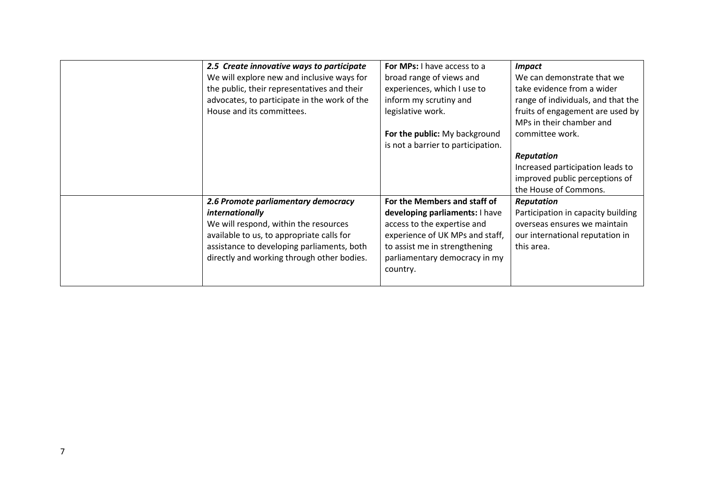| 2.5 Create innovative ways to participate<br>We will explore new and inclusive ways for<br>the public, their representatives and their<br>advocates, to participate in the work of the<br>House and its committees.                      | For MPs: I have access to a<br>broad range of views and<br>experiences, which I use to<br>inform my scrutiny and<br>legislative work.<br>For the public: My background<br>is not a barrier to participation.   | <b>Impact</b><br>We can demonstrate that we<br>take evidence from a wider<br>range of individuals, and that the<br>fruits of engagement are used by<br>MPs in their chamber and<br>committee work.<br><b>Reputation</b><br>Increased participation leads to<br>improved public perceptions of<br>the House of Commons. |
|------------------------------------------------------------------------------------------------------------------------------------------------------------------------------------------------------------------------------------------|----------------------------------------------------------------------------------------------------------------------------------------------------------------------------------------------------------------|------------------------------------------------------------------------------------------------------------------------------------------------------------------------------------------------------------------------------------------------------------------------------------------------------------------------|
| 2.6 Promote parliamentary democracy<br>internationally<br>We will respond, within the resources<br>available to us, to appropriate calls for<br>assistance to developing parliaments, both<br>directly and working through other bodies. | For the Members and staff of<br>developing parliaments: I have<br>access to the expertise and<br>experience of UK MPs and staff,<br>to assist me in strengthening<br>parliamentary democracy in my<br>country. | <b>Reputation</b><br>Participation in capacity building<br>overseas ensures we maintain<br>our international reputation in<br>this area.                                                                                                                                                                               |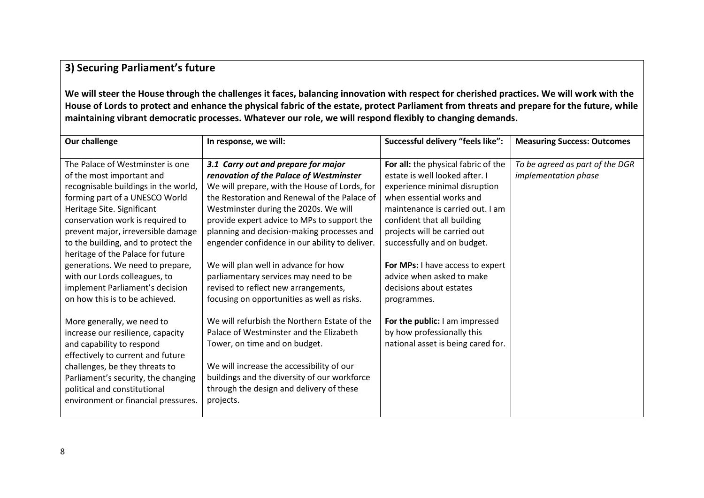# **3) Securing Parliament's future**

**We will steer the House through the challenges it faces, balancing innovation with respect for cherished practices. We will work with the House of Lords to protect and enhance the physical fabric of the estate, protect Parliament from threats and prepare for the future, while maintaining vibrant democratic processes. Whatever our role, we will respond flexibly to changing demands.** 

| Our challenge                                                                                                                                                                                                                                                                                                                                                                                                                                                         | In response, we will:                                                                                                                                                                                                                                                                                                                                                                                                                                                                                                                           | Successful delivery "feels like":                                                                                                                                                                                                                                                                                                                                               | <b>Measuring Success: Outcomes</b>                      |
|-----------------------------------------------------------------------------------------------------------------------------------------------------------------------------------------------------------------------------------------------------------------------------------------------------------------------------------------------------------------------------------------------------------------------------------------------------------------------|-------------------------------------------------------------------------------------------------------------------------------------------------------------------------------------------------------------------------------------------------------------------------------------------------------------------------------------------------------------------------------------------------------------------------------------------------------------------------------------------------------------------------------------------------|---------------------------------------------------------------------------------------------------------------------------------------------------------------------------------------------------------------------------------------------------------------------------------------------------------------------------------------------------------------------------------|---------------------------------------------------------|
| The Palace of Westminster is one<br>of the most important and<br>recognisable buildings in the world,<br>forming part of a UNESCO World<br>Heritage Site. Significant<br>conservation work is required to<br>prevent major, irreversible damage<br>to the building, and to protect the<br>heritage of the Palace for future<br>generations. We need to prepare,<br>with our Lords colleagues, to<br>implement Parliament's decision<br>on how this is to be achieved. | 3.1 Carry out and prepare for major<br>renovation of the Palace of Westminster<br>We will prepare, with the House of Lords, for<br>the Restoration and Renewal of the Palace of<br>Westminster during the 2020s. We will<br>provide expert advice to MPs to support the<br>planning and decision-making processes and<br>engender confidence in our ability to deliver.<br>We will plan well in advance for how<br>parliamentary services may need to be<br>revised to reflect new arrangements,<br>focusing on opportunities as well as risks. | For all: the physical fabric of the<br>estate is well looked after. I<br>experience minimal disruption<br>when essential works and<br>maintenance is carried out. I am<br>confident that all building<br>projects will be carried out<br>successfully and on budget.<br>For MPs: I have access to expert<br>advice when asked to make<br>decisions about estates<br>programmes. | To be agreed as part of the DGR<br>implementation phase |
| More generally, we need to<br>increase our resilience, capacity<br>and capability to respond<br>effectively to current and future<br>challenges, be they threats to<br>Parliament's security, the changing<br>political and constitutional<br>environment or financial pressures.                                                                                                                                                                                     | We will refurbish the Northern Estate of the<br>Palace of Westminster and the Elizabeth<br>Tower, on time and on budget.<br>We will increase the accessibility of our<br>buildings and the diversity of our workforce<br>through the design and delivery of these<br>projects.                                                                                                                                                                                                                                                                  | For the public: I am impressed<br>by how professionally this<br>national asset is being cared for.                                                                                                                                                                                                                                                                              |                                                         |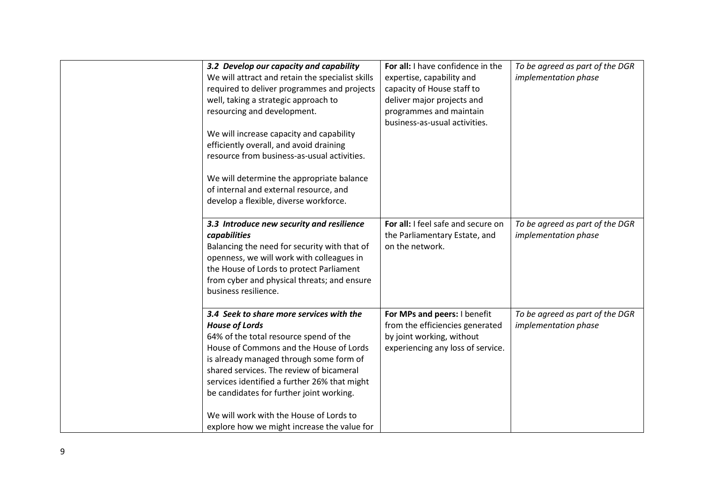| 3.2 Develop our capacity and capability<br>We will attract and retain the specialist skills<br>required to deliver programmes and projects<br>well, taking a strategic approach to<br>resourcing and development.<br>We will increase capacity and capability<br>efficiently overall, and avoid draining<br>resource from business-as-usual activities.                                                                             | For all: I have confidence in the<br>expertise, capability and<br>capacity of House staff to<br>deliver major projects and<br>programmes and maintain<br>business-as-usual activities. | To be agreed as part of the DGR<br>implementation phase |
|-------------------------------------------------------------------------------------------------------------------------------------------------------------------------------------------------------------------------------------------------------------------------------------------------------------------------------------------------------------------------------------------------------------------------------------|----------------------------------------------------------------------------------------------------------------------------------------------------------------------------------------|---------------------------------------------------------|
| We will determine the appropriate balance<br>of internal and external resource, and<br>develop a flexible, diverse workforce.                                                                                                                                                                                                                                                                                                       |                                                                                                                                                                                        |                                                         |
| 3.3 Introduce new security and resilience<br>capabilities<br>Balancing the need for security with that of<br>openness, we will work with colleagues in<br>the House of Lords to protect Parliament<br>from cyber and physical threats; and ensure<br>business resilience.                                                                                                                                                           | For all: I feel safe and secure on<br>the Parliamentary Estate, and<br>on the network.                                                                                                 | To be agreed as part of the DGR<br>implementation phase |
| 3.4 Seek to share more services with the<br><b>House of Lords</b><br>64% of the total resource spend of the<br>House of Commons and the House of Lords<br>is already managed through some form of<br>shared services. The review of bicameral<br>services identified a further 26% that might<br>be candidates for further joint working.<br>We will work with the House of Lords to<br>explore how we might increase the value for | For MPs and peers: I benefit<br>from the efficiencies generated<br>by joint working, without<br>experiencing any loss of service.                                                      | To be agreed as part of the DGR<br>implementation phase |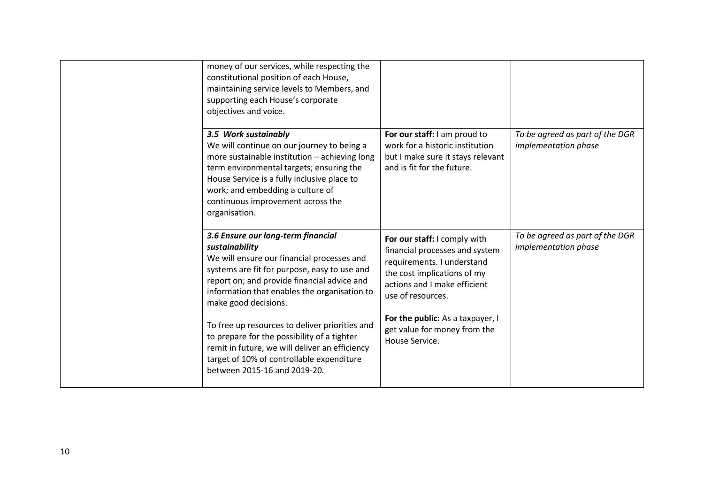| money of our services, while respecting the<br>constitutional position of each House,<br>maintaining service levels to Members, and<br>supporting each House's corporate<br>objectives and voice.                                                                                                                                                                                                                                                                                                         |                                                                                                                                                                                                                                                                        |                                                         |
|-----------------------------------------------------------------------------------------------------------------------------------------------------------------------------------------------------------------------------------------------------------------------------------------------------------------------------------------------------------------------------------------------------------------------------------------------------------------------------------------------------------|------------------------------------------------------------------------------------------------------------------------------------------------------------------------------------------------------------------------------------------------------------------------|---------------------------------------------------------|
| 3.5 Work sustainably<br>We will continue on our journey to being a<br>more sustainable institution - achieving long<br>term environmental targets; ensuring the<br>House Service is a fully inclusive place to<br>work; and embedding a culture of<br>continuous improvement across the<br>organisation.                                                                                                                                                                                                  | For our staff: I am proud to<br>work for a historic institution<br>but I make sure it stays relevant<br>and is fit for the future.                                                                                                                                     | To be agreed as part of the DGR<br>implementation phase |
| 3.6 Ensure our long-term financial<br>sustainability<br>We will ensure our financial processes and<br>systems are fit for purpose, easy to use and<br>report on; and provide financial advice and<br>information that enables the organisation to<br>make good decisions.<br>To free up resources to deliver priorities and<br>to prepare for the possibility of a tighter<br>remit in future, we will deliver an efficiency<br>target of 10% of controllable expenditure<br>between 2015-16 and 2019-20. | For our staff: I comply with<br>financial processes and system<br>requirements. I understand<br>the cost implications of my<br>actions and I make efficient<br>use of resources.<br>For the public: As a taxpayer, I<br>get value for money from the<br>House Service. | To be agreed as part of the DGR<br>implementation phase |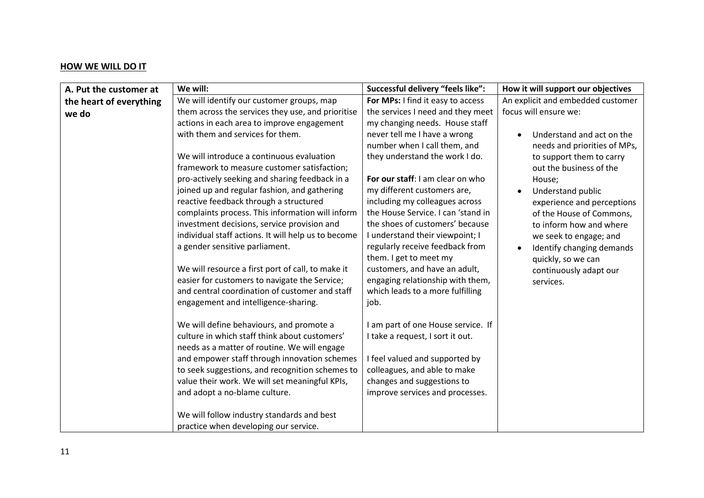### **HOW WE WILL DO IT**

| A. Put the customer at  | We will:                                                                                                                                                                                                                                                                                                                                                                                                                                                                                                                                                                                                                                                                                                                                                                                                                                                                                                                                                                                                                                                                                                   | Successful delivery "feels like":                                                                                                                                                                                                                                                                                                                                                                                                                                                                                                                                                                                                                                                                                                                                                 | How it will support our objectives                                                                                                                                                                                                                                                                                                                                                |
|-------------------------|------------------------------------------------------------------------------------------------------------------------------------------------------------------------------------------------------------------------------------------------------------------------------------------------------------------------------------------------------------------------------------------------------------------------------------------------------------------------------------------------------------------------------------------------------------------------------------------------------------------------------------------------------------------------------------------------------------------------------------------------------------------------------------------------------------------------------------------------------------------------------------------------------------------------------------------------------------------------------------------------------------------------------------------------------------------------------------------------------------|-----------------------------------------------------------------------------------------------------------------------------------------------------------------------------------------------------------------------------------------------------------------------------------------------------------------------------------------------------------------------------------------------------------------------------------------------------------------------------------------------------------------------------------------------------------------------------------------------------------------------------------------------------------------------------------------------------------------------------------------------------------------------------------|-----------------------------------------------------------------------------------------------------------------------------------------------------------------------------------------------------------------------------------------------------------------------------------------------------------------------------------------------------------------------------------|
| the heart of everything | We will identify our customer groups, map                                                                                                                                                                                                                                                                                                                                                                                                                                                                                                                                                                                                                                                                                                                                                                                                                                                                                                                                                                                                                                                                  | For MPs: I find it easy to access                                                                                                                                                                                                                                                                                                                                                                                                                                                                                                                                                                                                                                                                                                                                                 | An explicit and embedded customer                                                                                                                                                                                                                                                                                                                                                 |
| we do                   | them across the services they use, and prioritise<br>actions in each area to improve engagement<br>with them and services for them.<br>We will introduce a continuous evaluation<br>framework to measure customer satisfaction;<br>pro-actively seeking and sharing feedback in a<br>joined up and regular fashion, and gathering<br>reactive feedback through a structured<br>complaints process. This information will inform<br>investment decisions, service provision and<br>individual staff actions. It will help us to become<br>a gender sensitive parliament.<br>We will resource a first port of call, to make it<br>easier for customers to navigate the Service;<br>and central coordination of customer and staff<br>engagement and intelligence-sharing.<br>We will define behaviours, and promote a<br>culture in which staff think about customers'<br>needs as a matter of routine. We will engage<br>and empower staff through innovation schemes<br>to seek suggestions, and recognition schemes to<br>value their work. We will set meaningful KPIs,<br>and adopt a no-blame culture. | the services I need and they meet<br>my changing needs. House staff<br>never tell me I have a wrong<br>number when I call them, and<br>they understand the work I do.<br>For our staff: I am clear on who<br>my different customers are,<br>including my colleagues across<br>the House Service. I can 'stand in<br>the shoes of customers' because<br>I understand their viewpoint; I<br>regularly receive feedback from<br>them. I get to meet my<br>customers, and have an adult,<br>engaging relationship with them,<br>which leads to a more fulfilling<br>job.<br>I am part of one House service. If<br>I take a request, I sort it out.<br>I feel valued and supported by<br>colleagues, and able to make<br>changes and suggestions to<br>improve services and processes. | focus will ensure we:<br>Understand and act on the<br>needs and priorities of MPs,<br>to support them to carry<br>out the business of the<br>House;<br>Understand public<br>experience and perceptions<br>of the House of Commons,<br>to inform how and where<br>we seek to engage; and<br>Identify changing demands<br>quickly, so we can<br>continuously adapt our<br>services. |
|                         | We will follow industry standards and best<br>practice when developing our service.                                                                                                                                                                                                                                                                                                                                                                                                                                                                                                                                                                                                                                                                                                                                                                                                                                                                                                                                                                                                                        |                                                                                                                                                                                                                                                                                                                                                                                                                                                                                                                                                                                                                                                                                                                                                                                   |                                                                                                                                                                                                                                                                                                                                                                                   |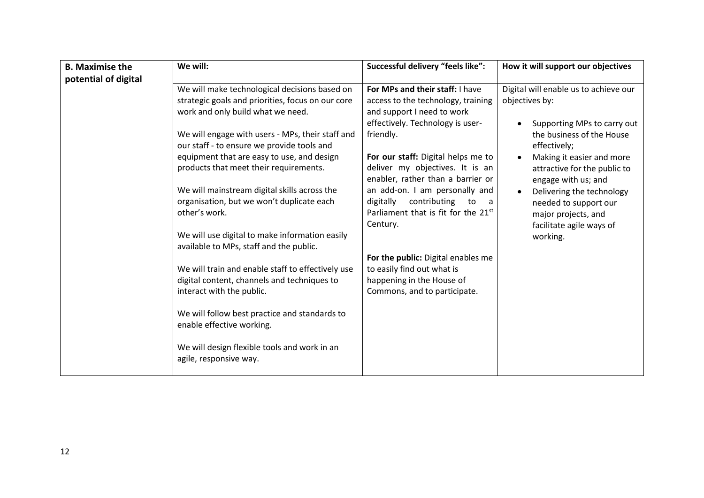| <b>B.</b> Maximise the | We will:                                                                                                                                                                                                                                                                                                                                                                                                                                                                                                                                                                                                                                                                                                                                                                                                                              | Successful delivery "feels like":                                                                                                                                                                                                                                                                                                                                                                                                                                                                                                  | How it will support our objectives                                                                                                                                                                                                                                                                                                           |
|------------------------|---------------------------------------------------------------------------------------------------------------------------------------------------------------------------------------------------------------------------------------------------------------------------------------------------------------------------------------------------------------------------------------------------------------------------------------------------------------------------------------------------------------------------------------------------------------------------------------------------------------------------------------------------------------------------------------------------------------------------------------------------------------------------------------------------------------------------------------|------------------------------------------------------------------------------------------------------------------------------------------------------------------------------------------------------------------------------------------------------------------------------------------------------------------------------------------------------------------------------------------------------------------------------------------------------------------------------------------------------------------------------------|----------------------------------------------------------------------------------------------------------------------------------------------------------------------------------------------------------------------------------------------------------------------------------------------------------------------------------------------|
| potential of digital   |                                                                                                                                                                                                                                                                                                                                                                                                                                                                                                                                                                                                                                                                                                                                                                                                                                       |                                                                                                                                                                                                                                                                                                                                                                                                                                                                                                                                    |                                                                                                                                                                                                                                                                                                                                              |
|                        | We will make technological decisions based on<br>strategic goals and priorities, focus on our core<br>work and only build what we need.<br>We will engage with users - MPs, their staff and<br>our staff - to ensure we provide tools and<br>equipment that are easy to use, and design<br>products that meet their requirements.<br>We will mainstream digital skills across the<br>organisation, but we won't duplicate each<br>other's work.<br>We will use digital to make information easily<br>available to MPs, staff and the public.<br>We will train and enable staff to effectively use<br>digital content, channels and techniques to<br>interact with the public.<br>We will follow best practice and standards to<br>enable effective working.<br>We will design flexible tools and work in an<br>agile, responsive way. | For MPs and their staff: I have<br>access to the technology, training<br>and support I need to work<br>effectively. Technology is user-<br>friendly.<br>For our staff: Digital helps me to<br>deliver my objectives. It is an<br>enabler, rather than a barrier or<br>an add-on. I am personally and<br>contributing<br>digitally<br>to<br>a a<br>Parliament that is fit for the 21st<br>Century.<br>For the public: Digital enables me<br>to easily find out what is<br>happening in the House of<br>Commons, and to participate. | Digital will enable us to achieve our<br>objectives by:<br>Supporting MPs to carry out<br>the business of the House<br>effectively;<br>Making it easier and more<br>attractive for the public to<br>engage with us; and<br>Delivering the technology<br>needed to support our<br>major projects, and<br>facilitate agile ways of<br>working. |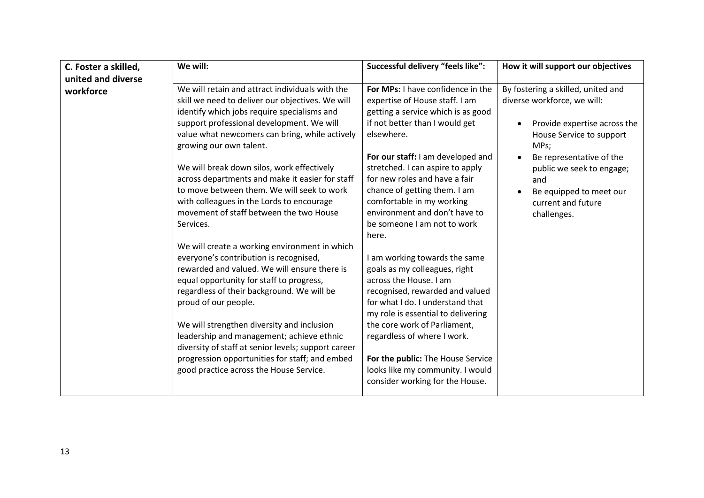| C. Foster a skilled, | We will:                                                                                                                                                                                                                                                                                                                                                                                                                                                                                                                         | Successful delivery "feels like":                                                                                                                                                                                                                                                                                                                                                                         | How it will support our objectives                                                                                                                                                                                                                                    |
|----------------------|----------------------------------------------------------------------------------------------------------------------------------------------------------------------------------------------------------------------------------------------------------------------------------------------------------------------------------------------------------------------------------------------------------------------------------------------------------------------------------------------------------------------------------|-----------------------------------------------------------------------------------------------------------------------------------------------------------------------------------------------------------------------------------------------------------------------------------------------------------------------------------------------------------------------------------------------------------|-----------------------------------------------------------------------------------------------------------------------------------------------------------------------------------------------------------------------------------------------------------------------|
| united and diverse   |                                                                                                                                                                                                                                                                                                                                                                                                                                                                                                                                  |                                                                                                                                                                                                                                                                                                                                                                                                           |                                                                                                                                                                                                                                                                       |
| workforce            | We will retain and attract individuals with the<br>skill we need to deliver our objectives. We will<br>identify which jobs require specialisms and<br>support professional development. We will<br>value what newcomers can bring, while actively<br>growing our own talent.<br>We will break down silos, work effectively<br>across departments and make it easier for staff<br>to move between them. We will seek to work<br>with colleagues in the Lords to encourage<br>movement of staff between the two House<br>Services. | For MPs: I have confidence in the<br>expertise of House staff. I am<br>getting a service which is as good<br>if not better than I would get<br>elsewhere.<br>For our staff: I am developed and<br>stretched. I can aspire to apply<br>for new roles and have a fair<br>chance of getting them. I am<br>comfortable in my working<br>environment and don't have to<br>be someone I am not to work<br>here. | By fostering a skilled, united and<br>diverse workforce, we will:<br>Provide expertise across the<br>House Service to support<br>MPs;<br>Be representative of the<br>public we seek to engage;<br>and<br>Be equipped to meet our<br>current and future<br>challenges. |
|                      | We will create a working environment in which<br>everyone's contribution is recognised,<br>rewarded and valued. We will ensure there is<br>equal opportunity for staff to progress,<br>regardless of their background. We will be<br>proud of our people.<br>We will strengthen diversity and inclusion<br>leadership and management; achieve ethnic<br>diversity of staff at senior levels; support career<br>progression opportunities for staff; and embed<br>good practice across the House Service.                         | I am working towards the same<br>goals as my colleagues, right<br>across the House. I am<br>recognised, rewarded and valued<br>for what I do. I understand that<br>my role is essential to delivering<br>the core work of Parliament,<br>regardless of where I work.<br>For the public: The House Service<br>looks like my community. I would<br>consider working for the House.                          |                                                                                                                                                                                                                                                                       |